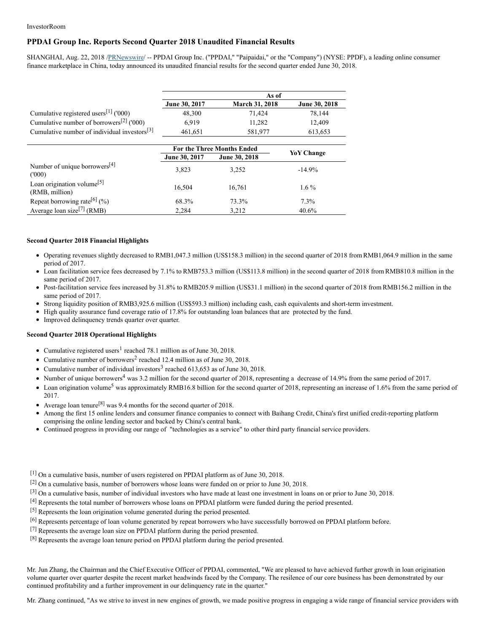## **PPDAI Group Inc. Reports Second Quarter 2018 Unaudited Financial Results**

SHANGHAI, Aug. 22, 2018 [/PRNewswire](http://www.prnewswire.com/)/ -- PPDAI Group Inc. ("PPDAI," "Paipaidai," or the "Company") (NYSE: PPDF), a leading online consumer finance marketplace in China, today announced its unaudited financial results for the second quarter ended June 30, 2018.

|                                                      |               | As of                 |               |
|------------------------------------------------------|---------------|-----------------------|---------------|
|                                                      | June 30, 2017 | <b>March 31, 2018</b> | June 30, 2018 |
| Cumulative registered users <sup>[1]</sup> ('000)    | 48,300        | 71.424                | 78,144        |
| Cumulative number of borrowers <sup>[2]</sup> ('000) | 6.919         | 11.282                | 12.409        |
| Cumulative number of individual investors $^{[3]}$   | 461.651       | 581,977               | 613.653       |

|                                                          |               | For the Three Months Ended |             |
|----------------------------------------------------------|---------------|----------------------------|-------------|
|                                                          | June 30, 2017 | June 30, 2018              | Yo Y Change |
| Number of unique borrowers $[4]$<br>(1000)               | 3.823         | 3,252                      | $-14.9%$    |
| Loan origination volume <sup>[5]</sup><br>(RMB, million) | 16.504        | 16,761                     | $1.6\%$     |
| Repeat borrowing rate <sup>[6]</sup> $(\% )$             | 68.3%         | 73.3%                      | $7.3\%$     |
| Average loan size <sup>[7]</sup> (RMB)                   | 2.284         | 3.212                      | 40.6%       |

## **Second Quarter 2018 Financial Highlights**

- Operating revenues slightly decreased to RMB1,047.3 million (US\$158.3 million) in the second quarter of 2018 from RMB1,064.9 million in the same period of 2017.
- Loan facilitation service fees decreased by 7.1% to RMB753.3 million (US\$113.8 million) in the second quarter of 2018 from RMB810.8 million in the same period of 2017.
- Post-facilitation service fees increased by 31.8% to RMB205.9 million (US\$31.1 million) in the second quarter of 2018 from RMB156.2 million in the same period of 2017.
- Strong liquidity position of RMB3,925.6 million (US\$593.3 million) including cash, cash equivalents and short-term investment.
- High quality assurance fund coverage ratio of 17.8% for outstanding loan balances that are protected by the fund.
- $\bullet$ Improved delinquency trends quarter over quarter.

## **Second Quarter 2018 Operational Highlights**

- Cumulative registered users<sup>1</sup> reached 78.1 million as of June 30, 2018.
- Cumulative number of borrowers<sup>2</sup> reached 12.4 million as of June 30, 2018.
- Cumulative number of individual investors<sup>3</sup> reached  $613,653$  as of June 30, 2018.
- Number of unique borrowers<sup>4</sup> was 3.2 million for the second quarter of 2018, representing a decrease of 14.9% from the same period of 2017.
- Loan origination volume<sup>5</sup> was approximately RMB16.8 billion for the second quarter of 2018, representing an increase of 1.6% from the same period of  $\bullet$ 2017.
- Average loan tenure<sup>[8]</sup> was 9.4 months for the second quarter of 2018.
- Among the first 15 online lenders and consumer finance companies to connect with Baihang Credit, China's first unified credit-reporting platform  $\bullet$ comprising the online lending sector and backed by China's central bank.
- Continued progress in providing our range of "technologies as a service" to other third party financial service providers.  $\bullet$
- [1] On a cumulative basis, number of users registered on PPDAI platform as of June 30, 2018.
- [2] On a cumulative basis, number of borrowers whose loans were funded on or prior to June 30, 2018.
- $[3]$  On a cumulative basis, number of individual investors who have made at least one investment in loans on or prior to June 30, 2018.
- [4] Represents the total number of borrowers whose loans on PPDAI platform were funded during the period presented.
- [5] Represents the loan origination volume generated during the period presented.
- [6] Represents percentage of loan volume generated by repeat borrowers who have successfully borrowed on PPDAI platform before.
- [7] Represents the average loan size on PPDAI platform during the period presented.
- [8] Represents the average loan tenure period on PPDAI platform during the period presented.

Mr. Jun Zhang, the Chairman and the Chief Executive Officer of PPDAI, commented, "We are pleased to have achieved further growth in loan origination volume quarter over quarter despite the recent market headwinds faced by the Company. The resilence of our core business has been demonstrated by our continued profitability and a further improvement in our delinquency rate in the quarter."

Mr. Zhang continued, "As we strive to invest in new engines of growth, we made positive progress in engaging a wide range of financial service providers with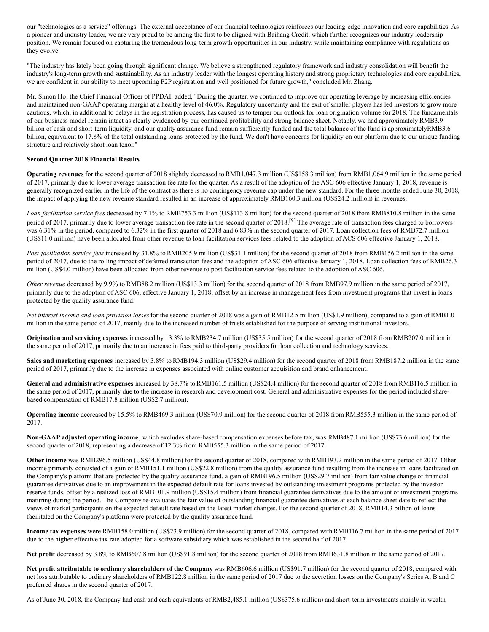our "technologies as a service" offerings. The external acceptance of our financial technologies reinforces our leading-edge innovation and core capabilities. As a pioneer and industry leader, we are very proud to be among the first to be aligned with Baihang Credit, which further recognizes our industry leadership position. We remain focused on capturing the tremendous long-term growth opportunities in our industry, while maintaining compliance with regulations as they evolve.

"The industry has lately been going through significant change. We believe a strengthened regulatory framework and industry consolidation will benefit the industry's long-term growth and sustainability. As an industry leader with the longest operating history and strong proprietary technologies and core capabilities, we are confident in our ability to meet upcoming P2P registration and well positioned for future growth," concluded Mr. Zhang.

Mr. Simon Ho, the Chief Financial Officer of PPDAI, added, "During the quarter, we continued to improve our operating leverage by increasing efficiencies and maintained non-GAAP operating margin at a healthy level of 46.0%. Regulatory uncertainty and the exit of smaller players has led investors to grow more cautious, which, in additional to delays in the registration process, has caused us to temper our outlook for loan origination volume for 2018. The fundamentals of our business model remain intact as clearly evidenced by our continued profitability and strong balance sheet. Notably, we had approximately RMB3.9 billion of cash and short-term liquidity, and our quality assurance fund remain sufficiently funded and the total balance of the fund is approximatelyRMB3.6 billion, equivalent to 17.8% of the total outstanding loans protected by the fund. We don't have concerns for liquidity on our plarform due to our unique funding structure and relatively short loan tenor."

### **Second Quarter 2018 Financial Results**

**Operating revenues** for the second quarter of 2018 slightly decreased to RMB1,047.3 million (US\$158.3 million) from RMB1,064.9 million in the same period of 2017, primarily due to lower average transaction fee rate for the quarter. As a result of the adoption of the ASC 606 effective January 1, 2018, revenue is generally recognized earlier in the life of the contract as there is no contingency revenue cap under the new standard. For the three months ended June 30, 2018, the impact of applying the new revenue standard resulted in an increase of approximately RMB160.3 million (US\$24.2 million) in revenues.

*Loan facilitation service fees* decreased by 7.1% to RMB753.3 million (US\$113.8 million) for the second quarter of 2018 from RMB810.8 million in the same period of 2017, primarily due to lower average transaction fee rate in the second quarter of 2018.<sup>[9]</sup> The average rate of transaction fees charged to borrowers was 6.31% in the period, compared to 6.32% in the first quarter of 2018 and 6.83% in the second quarter of 2017. Loan collection fees of RMB72.7 million (US\$11.0 million) have been allocated from other revenue to loan facilitation services fees related to the adoption of ACS 606 effective January 1, 2018.

*Post-facilitation service fees* increased by 31.8% to RMB205.9 million (US\$31.1 million) for the second quarter of 2018 from RMB156.2 million in the same period of 2017, due to the rolling impact of deferred transaction fees and the adoption of ASC 606 effective January 1, 2018. Loan collection fees of RMB26.3 million (US\$4.0 million) have been allocated from other revenue to post facilitation service fees related to the adoption of ASC 606.

*Other revenue* decreased by 9.9% to RMB88.2 million (US\$13.3 million) for the second quarter of 2018 from RMB97.9 million in the same period of 2017, primarily due to the adoption of ASC 606, effective January 1, 2018, offset by an increase in management fees from investment programs that invest in loans protected by the quality assurance fund.

*Net interest income and loan provision losses*for the second quarter of 2018 was a gain of RMB12.5 million (US\$1.9 million), compared to a gain of RMB1.0 million in the same period of 2017, mainly due to the increased number of trusts established for the purpose of serving institutional investors.

**Origination and servicing expenses** increased by 13.3% to RMB234.7 million (US\$35.5 million) for the second quarter of 2018 from RMB207.0 million in the same period of 2017, primarily due to an increase in fees paid to third-party providers for loan collection and technology services.

**Sales and marketing expenses** increased by 3.8% to RMB194.3 million (US\$29.4 million) for the second quarter of 2018 from RMB187.2 million in the same period of 2017, primarily due to the increase in expenses associated with online customer acquisition and brand enhancement.

**General and administrative expenses** increased by 38.7% to RMB161.5 million (US\$24.4 million) for the second quarter of 2018 from RMB116.5 million in the same period of 2017, primarily due to the increase in research and development cost. General and administrative expenses for the period included sharebased compensation of RMB17.8 million (US\$2.7 million).

**Operating income** decreased by 15.5% to RMB469.3 million (US\$70.9 million) for the second quarter of 2018 from RMB555.3 million in the same period of 2017.

**Non-GAAP adjusted operating income** , which excludes share-based compensation expenses before tax, was RMB487.1 million (US\$73.6 million) for the second quarter of 2018, representing a decrease of 12.3% from RMB555.3 million in the same period of 2017.

**Other income** was RMB296.5 million (US\$44.8 million) for the second quarter of 2018, compared with RMB193.2 million in the same period of 2017. Other income primarily consisted of a gain of RMB151.1 million (US\$22.8 million) from the quality assurance fund resulting from the increase in loans facilitated on the Company's platform that are protected by the quality assurance fund, a gain of RMB196.5 million (US\$29.7 million) from fair value change of financial guarantee derivatives due to an improvement in the expected default rate for loans invested by outstanding investment programs protected by the investor reserve funds, offset by a realized loss of RMB101.9 million (US\$15.4 million) from financial guarantee derivatives due to the amount of investment programs maturing during the period. The Company re-evaluates the fair value of outstanding financial guarantee derivatives at each balance sheet date to reflect the views of market participants on the expected default rate based on the latest market changes. For the second quarter of 2018, RMB14.3 billion of loans facilitated on the Company's platform were protected by the quality assurance fund.

**Income tax expenses** were RMB158.0 million (US\$23.9 million) for the second quarter of 2018, compared with RMB116.7 million in the same period of 2017 due to the higher effective tax rate adopted for a software subsidiary which was established in the second half of 2017.

**Net profit** decreased by 3.8% to RMB607.8 million (US\$91.8 million) for the second quarter of 2018 from RMB631.8 million in the same period of 2017.

**Net profit attributable to ordinary shareholders of the Company** was RMB606.6 million (US\$91.7 million) for the second quarter of 2018, compared with net loss attributable to ordinary shareholders of RMB122.8 million in the same period of 2017 due to the accretion losses on the Company's Series A, B and C preferred shares in the second quarter of 2017.

As of June 30, 2018, the Company had cash and cash equivalents of RMB2,485.1 million (US\$375.6 million) and short-term investments mainly in wealth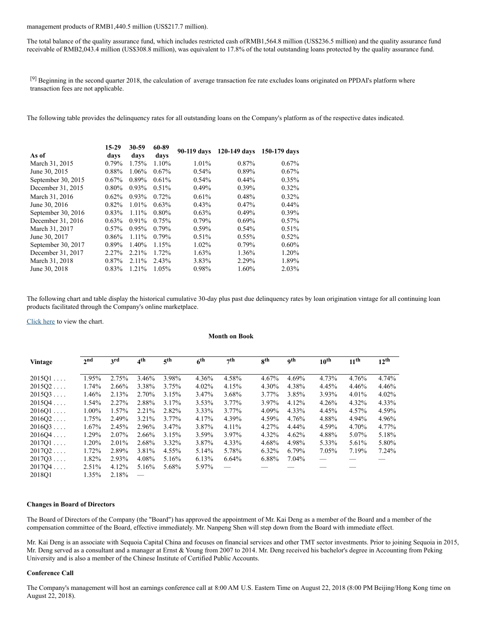#### management products of RMB1,440.5 million (US\$217.7 million).

The total balance of the quality assurance fund, which includes restricted cash ofRMB1,564.8 million (US\$236.5 million) and the quality assurance fund receivable of RMB2,043.4 million (US\$308.8 million), was equivalent to 17.8% of the total outstanding loans protected by the quality assurance fund.

<sup>[9]</sup> Beginning in the second quarter 2018, the calculation of average transaction fee rate excludes loans originated on PPDAI's platform where transaction fees are not applicable.

The following table provides the delinquency rates for all outstanding loans on the Company's platform as of the respective dates indicated.

|                    | $15 - 29$ | 30-59    | 60-89    | 90-119 days | 120-149 days | 150-179 days |
|--------------------|-----------|----------|----------|-------------|--------------|--------------|
| As of              | days      | days     | days     |             |              |              |
| March 31, 2015     | 0.79%     | 1.75%    | $1.10\%$ | 1.01%       | 0.87%        | 0.67%        |
| June 30, 2015      | $0.88\%$  | 1.06%    | 0.67%    | 0.54%       | 0.89%        | 0.67%        |
| September 30, 2015 | $0.67\%$  | $0.89\%$ | 0.61%    | 0.54%       | $0.44\%$     | 0.35%        |
| December 31, 2015  | $0.80\%$  | $0.93\%$ | 0.51%    | 0.49%       | $0.39\%$     | $0.32\%$     |
| March 31, 2016     | 0.62%     | $0.93\%$ | 0.72%    | 0.61%       | 0.48%        | $0.32\%$     |
| June 30, 2016      | 0.82%     | 1.01%    | 0.63%    | 0.43%       | 0.47%        | $0.44\%$     |
| September 30, 2016 | $0.83\%$  | $1.11\%$ | $0.80\%$ | 0.63%       | 0.49%        | $0.39\%$     |
| December 31, 2016  | $0.63\%$  | 0.91%    | 0.75%    | 0.79%       | $0.69\%$     | 0.57%        |
| March 31, 2017     | $0.57\%$  | 0.95%    | 0.79%    | $0.59\%$    | 0.54%        | 0.51%        |
| June 30, 2017      | 0.86%     | $1.11\%$ | $0.79\%$ | 0.51%       | $0.55\%$     | 0.52%        |
| September 30, 2017 | $0.89\%$  | 1.40%    | 1.15%    | $1.02\%$    | 0.79%        | 0.60%        |
| December 31, 2017  | 2.27%     | 2.21%    | 1.72%    | 1.63%       | 1.36%        | 1.20%        |
| March 31, 2018     | 0.87%     | $2.11\%$ | 2.43%    | 3.83%       | 2.29%        | 1.89%        |
| June 30, 2018      | 0.83%     | 1.21%    | 1.05%    | 0.98%       | 1.60%        | 2.03%        |

The following chart and table display the historical cumulative 30-day plus past due delinquency rates by loan origination vintage for all continuing loan products facilitated through the Company's online marketplace.

[Click](https://photos.prnasia.com/prnh/20180822/2218290-1) here to view the chart.

#### **Month on Book**

| <b>Vintage</b> | 2nd      | 3rd   | 4 <sup>th</sup> | 5 <sup>th</sup> | 6 <sup>th</sup> | 7th                      | gth      | <b>gth</b> | 10 <sup>th</sup> | 11 <sup>th</sup> | $12^{th}$ |
|----------------|----------|-------|-----------------|-----------------|-----------------|--------------------------|----------|------------|------------------|------------------|-----------|
| 2015Q1         | 1.95%    | 2.75% | 3.46%           | 3.98%           | 4.36%           | 4.58%                    | 4.67%    | 4.69%      | 4.73%            | 4.76%            | 4.74%     |
| 2015Q2         | 1.74%    | 2.66% | 3.38%           | 3.75%           | 4.02%           | 4.15%                    | 4.30%    | 4.38%      | 4.45%            | 4.46%            | 4.46%     |
| 2015Q3         | 1.46%    | 2.13% | 2.70%           | 3.15%           | 3.47%           | 3.68%                    | $3.77\%$ | 3.85%      | 3.93%            | $4.01\%$         | 4.02%     |
| 2015Q4         | 1.54%    | 2.27% | 2.88%           | 3.17%           | $3.53\%$        | $3.77\%$                 | 3.97%    | 4.12%      | 4.26%            | 4.32%            | 4.33%     |
| 2016Q1         | $1.00\%$ | 1.57% | $2.21\%$        | 2.82%           | 3.33%           | $3.77\%$                 | 4.09%    | 4.33%      | 4.45%            | 4.57%            | 4.59%     |
| 2016Q2         | 1.75%    | 2.49% | 3.21%           | $3.77\%$        | 4.17%           | 4.39%                    | 4.59%    | 4.76%      | 4.88%            | 4.94%            | 4.96%     |
| 2016Q3         | $1.67\%$ | 2.45% | 2.96%           | 3.47%           | 3.87%           | $4.11\%$                 | 4.27%    | $4.44\%$   | 4.59%            | 4.70%            | 4.77%     |
| 201604         | 1.29%    | 2.07% | 2.66%           | 3.15%           | 3.59%           | 3.97%                    | $4.32\%$ | 4.62%      | 4.88%            | 5.07%            | 5.18%     |
| 2017Q1         | 1.20%    | 2.01% | 2.68%           | $3.32\%$        | 3.87%           | 4.33%                    | 4.68%    | 4.98%      | 5.33%            | $5.61\%$         | 5.80%     |
| 201702         | 1.72%    | 2.89% | 3.81%           | 4.55%           | 5.14%           | 5.78%                    | 6.32%    | 6.79%      | $7.05\%$         | 7.19%            | 7.24%     |
| 2017Q3         | 1.82%    | 2.93% | 4.08%           | 5.16%           | 6.13%           | 6.64%                    | 6.88%    | 7.04%      |                  |                  |           |
| 2017Q4         | $2.51\%$ | 4.12% | 5.16%           | 5.68%           | 5.97%           | $\overline{\phantom{0}}$ |          |            |                  |                  |           |
| 2018O1         | 1.35%    | 2.18% |                 |                 |                 |                          |          |            |                  |                  |           |

#### **Changes in Board of Directors**

The Board of Directors of the Company (the "Board") has approved the appointment of Mr. Kai Deng as a member of the Board and a member of the compensation committee of the Board, effective immediately. Mr. Nanpeng Shen will step down from the Board with immediate effect.

Mr. Kai Deng is an associate with Sequoia Capital China and focuses on financial services and other TMT sector investments. Prior to joining Sequoia in 2015, Mr. Deng served as a consultant and a manager at Ernst & Young from 2007 to 2014. Mr. Deng received his bachelor's degree in Accounting from Peking University and is also a member of the Chinese Institute of Certified Public Accounts.

### **Conference Call**

The Company's management will host an earnings conference call at 8:00 AM U.S. Eastern Time on August 22, 2018 (8:00 PM Beijing/Hong Kong time on August 22, 2018).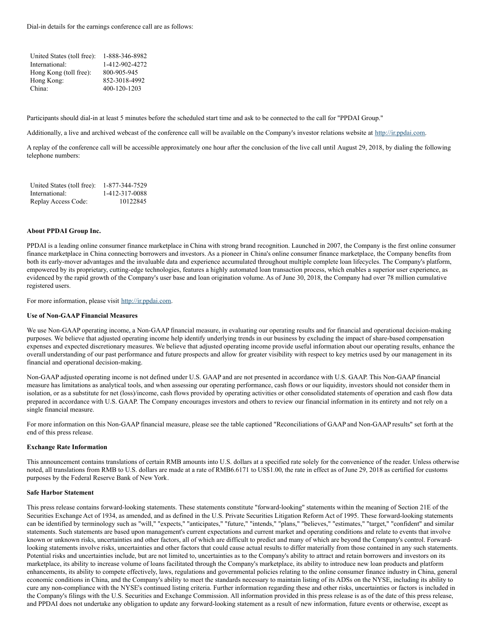| United States (toll free): | 1-888-346-8982 |
|----------------------------|----------------|
| International:             | 1-412-902-4272 |
| Hong Kong (toll free):     | 800-905-945    |
| Hong Kong:                 | 852-3018-4992  |
| China:                     | 400-120-1203   |

Participants should dial-in at least 5 minutes before the scheduled start time and ask to be connected to the call for "PPDAI Group."

Additionally, a live and archived webcast of the conference call will be available on the Company's investor relations website at [http://ir.ppdai.com](http://ir.ppdai.com/).

A replay of the conference call will be accessible approximately one hour after the conclusion of the live call until August 29, 2018, by dialing the following telephone numbers:

| United States (toll free): | 1-877-344-7529 |
|----------------------------|----------------|
| International:             | 1-412-317-0088 |
| Replay Access Code:        | 10122845       |

## **About PPDAI Group Inc.**

PPDAI is a leading online consumer finance marketplace in China with strong brand recognition. Launched in 2007, the Company is the first online consumer finance marketplace in China connecting borrowers and investors. As a pioneer in China's online consumer finance marketplace, the Company benefits from both its early-mover advantages and the invaluable data and experience accumulated throughout multiple complete loan lifecycles. The Company's platform, empowered by its proprietary, cutting-edge technologies, features a highly automated loan transaction process, which enables a superior user experience, as evidenced by the rapid growth of the Company's user base and loan origination volume. As of June 30, 2018, the Company had over 78 million cumulative registered users.

For more information, please visit [http://ir.ppdai.com](http://ir.ppdai.com/).

#### **Use of Non-GAAP Financial Measures**

We use Non-GAAP operating income, a Non-GAAP financial measure, in evaluating our operating results and for financial and operational decision-making purposes. We believe that adjusted operating income help identify underlying trends in our business by excluding the impact of share-based compensation expenses and expected discretionary measures. We believe that adjusted operating income provide useful information about our operating results, enhance the overall understanding of our past performance and future prospects and allow for greater visibility with respect to key metrics used by our management in its financial and operational decision-making.

Non-GAAP adjusted operating income is not defined under U.S. GAAP and are not presented in accordance with U.S. GAAP. This Non-GAAP financial measure has limitations as analytical tools, and when assessing our operating performance, cash flows or our liquidity, investors should not consider them in isolation, or as a substitute for net (loss)/income, cash flows provided by operating activities or other consolidated statements of operation and cash flow data prepared in accordance with U.S. GAAP. The Company encourages investors and others to review our financial information in its entirety and not rely on a single financial measure.

For more information on this Non-GAAP financial measure, please see the table captioned "Reconciliations of GAAP and Non-GAAP results" set forth at the end of this press release.

#### **Exchange Rate Information**

This announcement contains translations of certain RMB amounts into U.S. dollars at a specified rate solely for the convenience of the reader. Unless otherwise noted, all translations from RMB to U.S. dollars are made at a rate of RMB6.6171 to US\$1.00, the rate in effect as of June 29, 2018 as certified for customs purposes by the Federal Reserve Bank of New York.

#### **Safe Harbor Statement**

This press release contains forward-looking statements. These statements constitute "forward-looking" statements within the meaning of Section 21E of the Securities Exchange Act of 1934, as amended, and as defined in the U.S. Private Securities Litigation Reform Act of 1995. These forward-looking statements can be identified by terminology such as "will," "expects," "anticipates," "future," "intends," "plans," "believes," "estimates," "target," "confident" and similar statements. Such statements are based upon management's current expectations and current market and operating conditions and relate to events that involve known or unknown risks, uncertainties and other factors, all of which are difficult to predict and many of which are beyond the Company's control. Forwardlooking statements involve risks, uncertainties and other factors that could cause actual results to differ materially from those contained in any such statements. Potential risks and uncertainties include, but are not limited to, uncertainties as to the Company's ability to attract and retain borrowers and investors on its marketplace, its ability to increase volume of loans facilitated through the Company's marketplace, its ability to introduce new loan products and platform enhancements, its ability to compete effectively, laws, regulations and governmental policies relating to the online consumer finance industry in China, general economic conditions in China, and the Company's ability to meet the standards necessary to maintain listing of its ADSs on the NYSE, including its ability to cure any non-compliance with the NYSE's continued listing criteria. Further information regarding these and other risks, uncertainties or factors is included in the Company's filings with the U.S. Securities and Exchange Commission. All information provided in this press release is as of the date of this press release, and PPDAI does not undertake any obligation to update any forward-looking statement as a result of new information, future events or otherwise, except as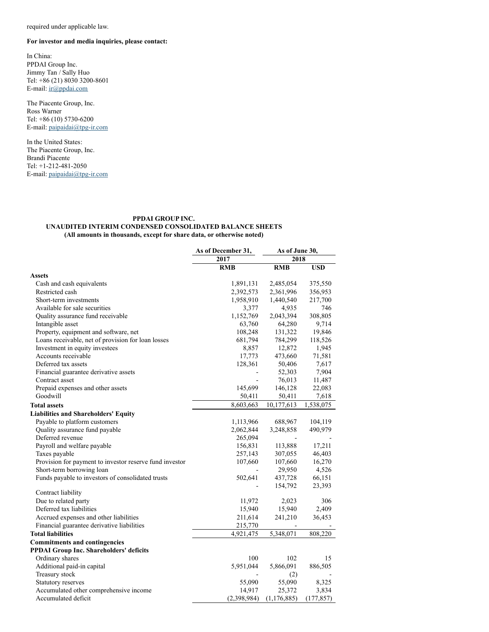required under applicable law.

## **For investor and media inquiries, please contact:**

In China: PPDAI Group Inc. Jimmy Tan / Sally Huo Tel: +86 (21) 8030 3200-8601 E-mail: [ir@ppdai.com](mailto:ir@ppdai.com)

The Piacente Group, Inc. Ross Warner Tel: +86 (10) 5730-6200 E-mail: [paipaidai@tpg-ir.com](mailto:paipaidai@tpg-ir.com)

In the United States: The Piacente Group, Inc. Brandi Piacente Tel: +1-212-481-2050 E-mail: [paipaidai@tpg-ir.com](mailto:paipaidai@tpg-ir.com)

# **PPDAI GROUP INC.**

## **UNAUDITED INTERIM CONDENSED CONSOLIDATED BALANCE SHEETS (All amounts in thousands, except for share data, or otherwise noted)**

|                                                         | As of December 31,<br>As of June 30, |                       |            |  |
|---------------------------------------------------------|--------------------------------------|-----------------------|------------|--|
|                                                         | 2017                                 | 2018                  |            |  |
|                                                         | <b>RMB</b>                           | <b>RMB</b>            | <b>USD</b> |  |
| <b>Assets</b>                                           |                                      |                       |            |  |
| Cash and cash equivalents                               | 1,891,131                            | 2,485,054             | 375,550    |  |
| Restricted cash                                         | 2,392,573                            | 2,361,996             | 356,953    |  |
| Short-term investments                                  | 1,958,910                            | 1,440,540             | 217,700    |  |
| Available for sale securities                           | 3,377                                | 4,935                 | 746        |  |
| Quality assurance fund receivable                       | 1,152,769                            | 2,043,394             | 308,805    |  |
| Intangible asset                                        | 63,760                               | 64,280                | 9,714      |  |
| Property, equipment and software, net                   | 108,248                              | 131,322               | 19,846     |  |
| Loans receivable, net of provision for loan losses      | 681,794                              | 784,299               | 118,526    |  |
| Investment in equity investees                          | 8,857                                | 12,872                | 1,945      |  |
| Accounts receivable                                     | 17,773                               | 473,660               | 71,581     |  |
| Deferred tax assets                                     | 128,361                              | 50,406                | 7,617      |  |
| Financial guarantee derivative assets                   |                                      | 52,303                | 7,904      |  |
| Contract asset                                          |                                      | 76,013                | 11,487     |  |
| Prepaid expenses and other assets                       | 145,699                              | 146,128               | 22,083     |  |
| Goodwill                                                | 50,411                               | 50,411                | 7,618      |  |
| <b>Total assets</b>                                     | 8,603,663                            | 10,177,613            | 1,538,075  |  |
| <b>Liabilities and Shareholders' Equity</b>             |                                      |                       |            |  |
| Payable to platform customers                           | 1,113,966                            | 688,967               | 104,119    |  |
| Quality assurance fund payable                          | 2,062,844                            | 3,248,858             | 490,979    |  |
| Deferred revenue                                        | 265,094                              |                       |            |  |
| Payroll and welfare payable                             | 156,831                              | 113,888               | 17,211     |  |
| Taxes payable                                           | 257,143                              | 307,055               | 46,403     |  |
| Provision for payment to investor reserve fund investor | 107,660                              | 107,660               | 16,270     |  |
| Short-term borrowing loan                               |                                      | 29,950                | 4,526      |  |
| Funds payable to investors of consolidated trusts       | 502,641                              | 437,728               | 66,151     |  |
|                                                         |                                      | 154,792               | 23,393     |  |
| Contract liability                                      |                                      |                       |            |  |
| Due to related party                                    | 11,972                               | 2,023                 | 306        |  |
| Deferred tax liabilities                                | 15,940                               | 15,940                | 2,409      |  |
| Accrued expenses and other liabilities                  | 211,614                              | 241,210               | 36,453     |  |
| Financial guarantee derivative liabilities              | 215,770                              | $\tilde{\phantom{a}}$ |            |  |
| <b>Total liabilities</b>                                | 4,921,475                            | 5,348,071             | 808,220    |  |
| <b>Commitments and contingencies</b>                    |                                      |                       |            |  |
| <b>PPDAI Group Inc. Shareholders' deficits</b>          |                                      |                       |            |  |
| Ordinary shares                                         | 100                                  | 102                   | 15         |  |
| Additional paid-in capital                              | 5,951,044                            | 5,866,091             | 886,505    |  |
| Treasury stock                                          |                                      | (2)                   |            |  |
| Statutory reserves                                      | 55,090                               | 55,090                | 8,325      |  |
| Accumulated other comprehensive income                  | 14,917                               | 25,372                | 3,834      |  |
| Accumulated deficit                                     | (2,398,984)                          | (1, 176, 885)         | (177, 857) |  |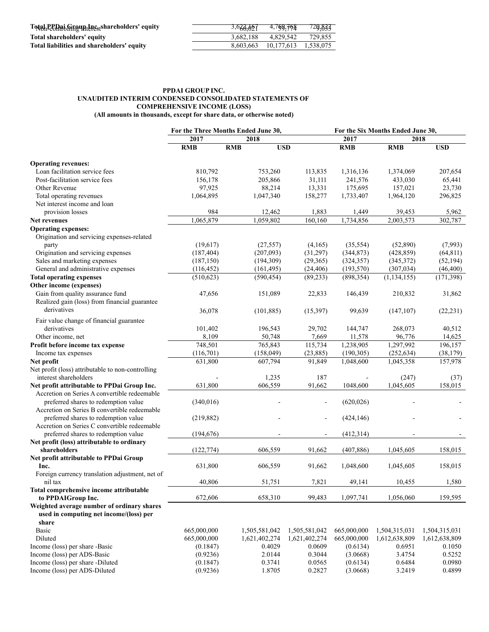| Total PPDai Groundnest shareholders' equity | 3,620,021 | 4,769,768                      | 720,833 |
|---------------------------------------------|-----------|--------------------------------|---------|
| Total shareholders' equity                  | 3.682.188 | 4.829.542                      | 729.855 |
| Total liabilities and shareholders' equity  |           | 8.603.663 10.177.613 1.538.075 |         |
|                                             |           |                                |         |

## **PPDAI GROUP INC. UNAUDITED INTERIM CONDENSED CONSOLIDATED STATEMENTS OF COMPREHENSIVE INCOME (LOSS) (All amounts in thousands, except for share data, or otherwise noted)**

|                                                            |             | For the Three Months Ended June 30, |               | For the Six Months Ended June 30, |               |               |  |
|------------------------------------------------------------|-------------|-------------------------------------|---------------|-----------------------------------|---------------|---------------|--|
|                                                            | 2017        | 2018                                |               | 2017                              |               | 2018          |  |
|                                                            | <b>RMB</b>  | <b>RMB</b>                          | <b>USD</b>    | RMB                               | <b>RMB</b>    | <b>USD</b>    |  |
| <b>Operating revenues:</b>                                 |             |                                     |               |                                   |               |               |  |
| Loan facilitation service fees                             | 810,792     | 753,260                             | 113,835       | 1,316,136                         | 1,374,069     | 207,654       |  |
| Post-facilitation service fees                             | 156,178     | 205,866                             | 31,111        | 241,576                           | 433,030       | 65,441        |  |
| Other Revenue                                              | 97,925      | 88,214                              | 13,331        | 175,695                           | 157,021       | 23,730        |  |
| Total operating revenues                                   | 1,064,895   | 1,047,340                           | 158,277       | 1,733,407                         | 1,964,120     | 296,825       |  |
| Net interest income and loan                               |             |                                     |               |                                   |               |               |  |
| provision losses                                           | 984         | 12,462                              | 1,883         | 1,449                             | 39,453        | 5,962         |  |
| Net revenues                                               | 1,065,879   | 1,059,802                           | 160,160       | 1,734,856                         | 2,003,573     | 302,787       |  |
| <b>Operating expenses:</b>                                 |             |                                     |               |                                   |               |               |  |
| Origination and servicing expenses-related                 |             |                                     |               |                                   |               |               |  |
| party                                                      | (19,617)    | (27, 557)                           | (4,165)       | (35, 554)                         | (52,890)      | (7,993)       |  |
| Origination and servicing expenses                         | (187, 404)  | (207,093)                           | (31,297)      | (344, 873)                        | (428, 859)    | (64, 811)     |  |
| Sales and marketing expenses                               | (187, 150)  | (194, 309)                          | (29, 365)     | (324, 357)                        | (345,372)     | (52, 194)     |  |
| General and administrative expenses                        | (116, 452)  | (161, 495)                          | (24, 406)     | (193, 570)                        | (307, 034)    | (46, 400)     |  |
| <b>Total operating expenses</b>                            | (510, 623)  | (590, 454)                          | (89, 233)     | (898, 354)                        | (1, 134, 155) | (171, 398)    |  |
| Other income (expenses)                                    |             |                                     |               |                                   |               |               |  |
| Gain from quality assurance fund                           | 47,656      | 151,089                             | 22,833        | 146,439                           | 210,832       | 31,862        |  |
| Realized gain (loss) from financial guarantee              |             |                                     |               |                                   |               |               |  |
| derivatives                                                | 36,078      | (101, 885)                          | (15,397)      | 99,639                            | (147, 107)    | (22, 231)     |  |
| Fair value change of financial guarantee                   |             |                                     |               |                                   |               |               |  |
| derivatives                                                | 101,402     | 196,543                             | 29,702        | 144,747                           | 268,073       | 40,512        |  |
| Other income, net                                          | 8,109       | 50,748                              | 7,669         | 11,578                            | 96,776        | 14,625        |  |
| Profit before income tax expense                           | 748,501     | 765,843                             | 115,734       | 1,238,905                         | 1,297,992     | 196,157       |  |
| Income tax expenses                                        | (116,701)   | (158,049)                           | (23, 885)     | (190, 305)                        | (252, 634)    | (38, 179)     |  |
| Net profit                                                 | 631,800     | 607,794                             | 91,849        | 1,048,600                         | 1,045,358     | 157,978       |  |
| Net profit (loss) attributable to non-controlling          |             |                                     |               |                                   |               |               |  |
| interest shareholders                                      |             | 1,235                               | 187           |                                   | (247)         | (37)          |  |
| Net profit attributable to PPDai Group Inc.                | 631,800     | 606,559                             | 91,662        | 1048,600                          | 1,045,605     | 158,015       |  |
| Accretion on Series A convertible redeemable               |             |                                     |               |                                   |               |               |  |
| preferred shares to redemption value                       | (340,016)   |                                     |               | (620, 026)                        |               |               |  |
| Accretion on Series B convertible redeemable               |             |                                     |               |                                   |               |               |  |
| preferred shares to redemption value                       | (219, 882)  |                                     |               | (424, 146)                        |               |               |  |
| Accretion on Series C convertible redeemable               |             |                                     |               |                                   |               |               |  |
| preferred shares to redemption value                       | (194, 676)  |                                     |               | (412,314)                         |               |               |  |
| Net profit (loss) attributable to ordinary                 |             |                                     |               |                                   |               |               |  |
| shareholders                                               | (122, 774)  | 606,559                             | 91,662        | (407, 886)                        | 1,045,605     | 158,015       |  |
| Net profit attributable to PPDai Group                     |             |                                     |               |                                   |               |               |  |
| Inc.                                                       | 631,800     | 606,559                             | 91,662        | 1,048,600                         | 1,045,605     | 158,015       |  |
| Foreign currency translation adjustment, net of<br>nil tax | 40,806      | 51,751                              | 7,821         | 49,141                            | 10,455        | 1,580         |  |
| Total comprehensive income attributable                    |             |                                     |               |                                   |               |               |  |
| to PPDAIGroup Inc.                                         | 672,606     | 658,310                             | 99,483        | 1,097,741                         | 1,056,060     | 159,595       |  |
| Weighted average number of ordinary shares                 |             |                                     |               |                                   |               |               |  |
| used in computing net income/(loss) per                    |             |                                     |               |                                   |               |               |  |
| share                                                      |             |                                     |               |                                   |               |               |  |
| Basic                                                      | 665,000,000 | 1,505,581,042                       | 1,505,581,042 | 665,000,000                       | 1,504,315,031 | 1,504,315,031 |  |
| Diluted                                                    | 665,000,000 | 1,621,402,274                       | 1,621,402,274 | 665,000,000                       | 1,612,638,809 | 1,612,638,809 |  |
| Income (loss) per share -Basic                             | (0.1847)    | 0.4029                              | 0.0609        | (0.6134)                          | 0.6951        | 0.1050        |  |
| Income (loss) per ADS-Basic                                | (0.9236)    | 2.0144                              | 0.3044        | (3.0668)                          | 3.4754        | 0.5252        |  |
| Income (loss) per share -Diluted                           | (0.1847)    | 0.3741                              | 0.0565        | (0.6134)                          | 0.6484        | 0.0980        |  |
| Income (loss) per ADS-Diluted                              | (0.9236)    | 1.8705                              | 0.2827        | (3.0668)                          | 3.2419        | 0.4899        |  |